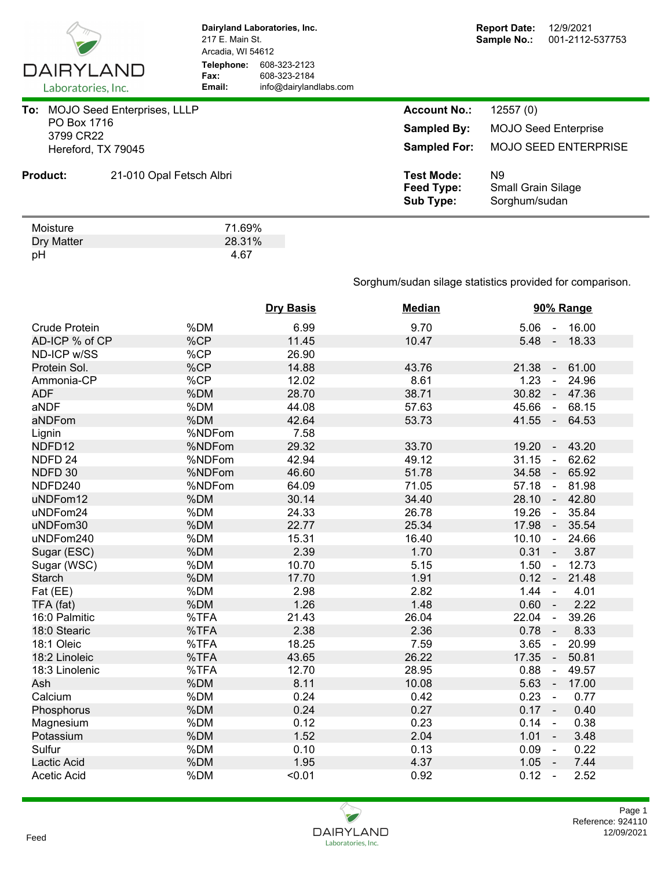

**Dairyland Laboratories, Inc.** 217 E. Main St. Arcadia, WI 54612 **Telephone:** 608-323-2123 **Fax:** 608-323-2184<br> **Email:** info@dairyland **Email:** info@dairylandlabs.com

| To: |                          | <b>MOJO Seed Enterprises, LLLP</b> |        | <b>Account No.:</b>                                 | 12557(0)                                                     |
|-----|--------------------------|------------------------------------|--------|-----------------------------------------------------|--------------------------------------------------------------|
|     | PO Box 1716<br>3799 CR22 |                                    |        | <b>Sampled By:</b>                                  | <b>MOJO Seed Enterprise</b>                                  |
|     | Hereford, TX 79045       |                                    |        | <b>Sampled For:</b>                                 | <b>MOJO SEED ENTERPRISE</b>                                  |
|     | <b>Product:</b>          | 21-010 Opal Fetsch Albri           |        | <b>Test Mode:</b><br>Feed Type:<br><b>Sub Type:</b> | N <sub>9</sub><br><b>Small Grain Silage</b><br>Sorghum/sudan |
|     | Moisture                 |                                    | 71.69% |                                                     |                                                              |

| Moisture   | 71.69% |
|------------|--------|
| Dry Matter | 28.31% |
| pH         | 4.67   |

## Sorghum/sudan silage statistics provided for comparison.

|                      |        | <b>Dry Basis</b> | <b>Median</b> | 90% Range                                  |
|----------------------|--------|------------------|---------------|--------------------------------------------|
| <b>Crude Protein</b> | %DM    | 6.99             | 9.70          | 5.06<br>16.00<br>$\sim$                    |
| AD-ICP % of CP       | %CP    | 11.45            | 10.47         | $5.48 -$<br>18.33                          |
| ND-ICP w/SS          | %CP    | 26.90            |               |                                            |
| Protein Sol.         | %CP    | 14.88            | 43.76         | 21.38<br>61.00<br>$\sim$                   |
| Ammonia-CP           | %CP    | 12.02            | 8.61          | 1.23<br>24.96<br>$\blacksquare$            |
| <b>ADF</b>           | %DM    | 28.70            | 38.71         | 30.82<br>47.36<br>$\sim$                   |
| aNDF                 | %DM    | 44.08            | 57.63         | 45.66<br>68.15<br>$\omega$                 |
| aNDFom               | %DM    | 42.64            | 53.73         | 41.55<br>64.53<br>$\sim$                   |
| Lignin               | %NDFom | 7.58             |               |                                            |
| NDFD12               | %NDFom | 29.32            | 33.70         | 19.20<br>43.20<br>$\blacksquare$           |
| NDFD <sub>24</sub>   | %NDFom | 42.94            | 49.12         | 31.15<br>62.62<br>$\sim$                   |
| NDFD 30              | %NDFom | 46.60            | 51.78         | 34.58<br>65.92<br>$\sim$                   |
| NDFD240              | %NDFom | 64.09            | 71.05         | 57.18<br>81.98<br>$\blacksquare$           |
| uNDFom12             | %DM    | 30.14            | 34.40         | 28.10<br>42.80<br>$\sim$                   |
| uNDFom24             | %DM    | 24.33            | 26.78         | 19.26<br>35.84<br>$\blacksquare$           |
| uNDFom30             | %DM    | 22.77            | 25.34         | 17.98<br>35.54<br>$\sim$                   |
| uNDFom240            | %DM    | 15.31            | 16.40         | 10.10<br>24.66<br>$\omega$                 |
| Sugar (ESC)          | %DM    | 2.39             | 1.70          | 0.31<br>3.87<br>$\sim$                     |
| Sugar (WSC)          | %DM    | 10.70            | 5.15          | 1.50<br>12.73<br>$\blacksquare$            |
| <b>Starch</b>        | %DM    | 17.70            | 1.91          | 0.12<br>21.48<br>$\overline{\phantom{a}}$  |
| Fat (EE)             | %DM    | 2.98             | 2.82          | 1.44<br>4.01<br>$\blacksquare$             |
| TFA (fat)            | %DM    | 1.26             | 1.48          | 0.60<br>2.22                               |
| 16:0 Palmitic        | %TFA   | 21.43            | 26.04         | 22.04<br>39.26<br>$\overline{\phantom{a}}$ |
| 18:0 Stearic         | %TFA   | 2.38             | 2.36          | 8.33<br>0.78<br>$\overline{\phantom{a}}$   |
| 18:1 Oleic           | %TFA   | 18.25            | 7.59          | 3.65<br>20.99<br>$\overline{\phantom{a}}$  |
| 18:2 Linoleic        | %TFA   | 43.65            | 26.22         | 17.35<br>50.81<br>$\blacksquare$           |
| 18:3 Linolenic       | %TFA   | 12.70            | 28.95         | 0.88<br>49.57<br>$\blacksquare$            |
| Ash                  | %DM    | 8.11             | 10.08         | 5.63<br>17.00<br>$\sim$                    |
| Calcium              | %DM    | 0.24             | 0.42          | 0.23<br>0.77<br>$\sim$                     |
| Phosphorus           | %DM    | 0.24             | 0.27          | $0.17 -$<br>0.40                           |
| Magnesium            | %DM    | 0.12             | 0.23          | 0.14<br>0.38<br>$\blacksquare$             |
| Potassium            | %DM    | 1.52             | 2.04          | 1.01<br>3.48<br>$\sim$                     |
| Sulfur               | %DM    | 0.10             | 0.13          | 0.09<br>0.22<br>$\blacksquare$             |
| Lactic Acid          | %DM    | 1.95             | 4.37          | 1.05<br>7.44<br>$\sim$                     |
| <b>Acetic Acid</b>   | %DM    | < 0.01           | 0.92          | 0.12<br>2.52<br>$\overline{\phantom{a}}$   |